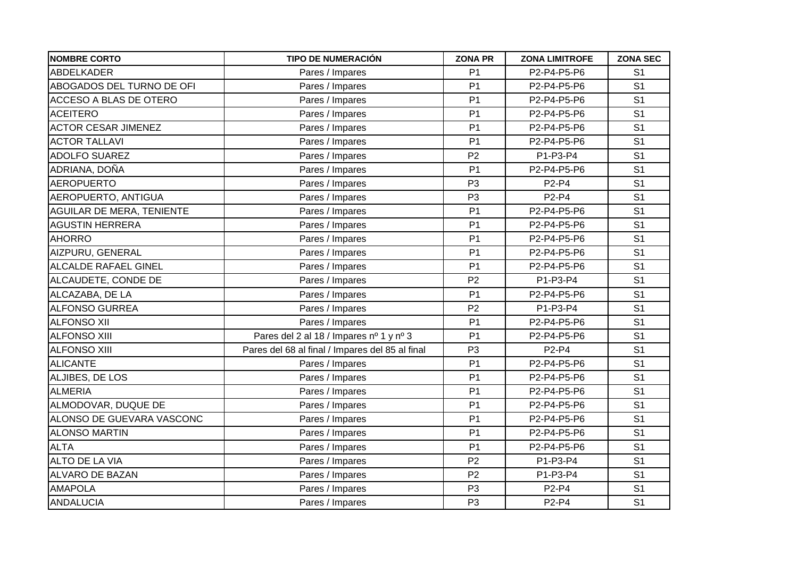| <b>NOMBRE CORTO</b>         | <b>TIPO DE NUMERACIÓN</b>                       | <b>ZONA PR</b> | <b>ZONA LIMITROFE</b> | <b>ZONA SEC</b> |
|-----------------------------|-------------------------------------------------|----------------|-----------------------|-----------------|
| <b>ABDELKADER</b>           | Pares / Impares                                 | P <sub>1</sub> | P2-P4-P5-P6           | S <sub>1</sub>  |
| ABOGADOS DEL TURNO DE OFI   | Pares / Impares                                 | P <sub>1</sub> | P2-P4-P5-P6           | S <sub>1</sub>  |
| ACCESO A BLAS DE OTERO      | Pares / Impares                                 | P <sub>1</sub> | P2-P4-P5-P6           | S <sub>1</sub>  |
| <b>ACEITERO</b>             | Pares / Impares                                 | P <sub>1</sub> | P2-P4-P5-P6           | S <sub>1</sub>  |
| <b>ACTOR CESAR JIMENEZ</b>  | Pares / Impares                                 | P <sub>1</sub> | P2-P4-P5-P6           | S <sub>1</sub>  |
| <b>ACTOR TALLAVI</b>        | Pares / Impares                                 | P <sub>1</sub> | P2-P4-P5-P6           | S <sub>1</sub>  |
| <b>ADOLFO SUAREZ</b>        | Pares / Impares                                 | P <sub>2</sub> | P1-P3-P4              | S <sub>1</sub>  |
| ADRIANA, DOÑA               | Pares / Impares                                 | P <sub>1</sub> | P2-P4-P5-P6           | S <sub>1</sub>  |
| <b>AEROPUERTO</b>           | Pares / Impares                                 | P <sub>3</sub> | P2-P4                 | S <sub>1</sub>  |
| AEROPUERTO, ANTIGUA         | Pares / Impares                                 | P <sub>3</sub> | P2-P4                 | S <sub>1</sub>  |
| AGUILAR DE MERA, TENIENTE   | Pares / Impares                                 | P <sub>1</sub> | P2-P4-P5-P6           | S <sub>1</sub>  |
| <b>AGUSTIN HERRERA</b>      | Pares / Impares                                 | P <sub>1</sub> | P2-P4-P5-P6           | S <sub>1</sub>  |
| <b>AHORRO</b>               | Pares / Impares                                 | P <sub>1</sub> | P2-P4-P5-P6           | S <sub>1</sub>  |
| AIZPURU, GENERAL            | Pares / Impares                                 | P <sub>1</sub> | P2-P4-P5-P6           | S <sub>1</sub>  |
| <b>ALCALDE RAFAEL GINEL</b> | Pares / Impares                                 | P <sub>1</sub> | P2-P4-P5-P6           | S <sub>1</sub>  |
| ALCAUDETE, CONDE DE         | Pares / Impares                                 | P <sub>2</sub> | P1-P3-P4              | S <sub>1</sub>  |
| ALCAZABA, DE LA             | Pares / Impares                                 | P <sub>1</sub> | P2-P4-P5-P6           | S <sub>1</sub>  |
| <b>ALFONSO GURREA</b>       | Pares / Impares                                 | P <sub>2</sub> | P1-P3-P4              | S <sub>1</sub>  |
| <b>ALFONSO XII</b>          | Pares / Impares                                 | P <sub>1</sub> | P2-P4-P5-P6           | S <sub>1</sub>  |
| <b>ALFONSO XIII</b>         | Pares del 2 al 18 / Impares nº 1 y nº 3         | P <sub>1</sub> | P2-P4-P5-P6           | S <sub>1</sub>  |
| <b>ALFONSO XIII</b>         | Pares del 68 al final / Impares del 85 al final | P <sub>3</sub> | P2-P4                 | S <sub>1</sub>  |
| <b>ALICANTE</b>             | Pares / Impares                                 | P <sub>1</sub> | P2-P4-P5-P6           | S <sub>1</sub>  |
| ALJIBES, DE LOS             | Pares / Impares                                 | P <sub>1</sub> | P2-P4-P5-P6           | S <sub>1</sub>  |
| <b>ALMERIA</b>              | Pares / Impares                                 | P <sub>1</sub> | P2-P4-P5-P6           | S <sub>1</sub>  |
| ALMODOVAR, DUQUE DE         | Pares / Impares                                 | P <sub>1</sub> | P2-P4-P5-P6           | S <sub>1</sub>  |
| ALONSO DE GUEVARA VASCONC   | Pares / Impares                                 | P <sub>1</sub> | P2-P4-P5-P6           | S <sub>1</sub>  |
| <b>ALONSO MARTIN</b>        | Pares / Impares                                 | P <sub>1</sub> | P2-P4-P5-P6           | S <sub>1</sub>  |
| <b>ALTA</b>                 | Pares / Impares                                 | P <sub>1</sub> | P2-P4-P5-P6           | S <sub>1</sub>  |
| ALTO DE LA VIA              | Pares / Impares                                 | P <sub>2</sub> | P1-P3-P4              | S <sub>1</sub>  |
| ALVARO DE BAZAN             | Pares / Impares                                 | P <sub>2</sub> | P1-P3-P4              | S <sub>1</sub>  |
| <b>AMAPOLA</b>              | Pares / Impares                                 | P <sub>3</sub> | P2-P4                 | S <sub>1</sub>  |
| ANDALUCIA                   | Pares / Impares                                 | P <sub>3</sub> | P2-P4                 | S <sub>1</sub>  |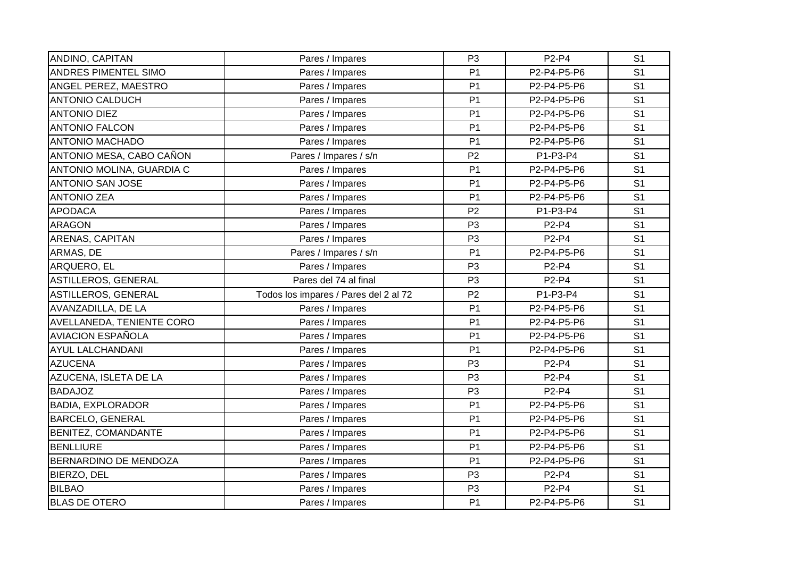| ANDINO, CAPITAN           | Pares / Impares                       | P <sub>3</sub> | P2-P4       | S <sub>1</sub> |
|---------------------------|---------------------------------------|----------------|-------------|----------------|
| ANDRES PIMENTEL SIMO      | Pares / Impares                       | P <sub>1</sub> | P2-P4-P5-P6 | S <sub>1</sub> |
| ANGEL PEREZ, MAESTRO      | Pares / Impares                       | P <sub>1</sub> | P2-P4-P5-P6 | S <sub>1</sub> |
| <b>ANTONIO CALDUCH</b>    | Pares / Impares                       | P <sub>1</sub> | P2-P4-P5-P6 | S <sub>1</sub> |
| <b>ANTONIO DIEZ</b>       | Pares / Impares                       | P <sub>1</sub> | P2-P4-P5-P6 | S <sub>1</sub> |
| <b>ANTONIO FALCON</b>     | Pares / Impares                       | P <sub>1</sub> | P2-P4-P5-P6 | S <sub>1</sub> |
| <b>ANTONIO MACHADO</b>    | Pares / Impares                       | P <sub>1</sub> | P2-P4-P5-P6 | S <sub>1</sub> |
| ANTONIO MESA, CABO CAÑON  | Pares / Impares / s/n                 | P <sub>2</sub> | P1-P3-P4    | S <sub>1</sub> |
| ANTONIO MOLINA, GUARDIA C | Pares / Impares                       | P <sub>1</sub> | P2-P4-P5-P6 | S <sub>1</sub> |
| <b>ANTONIO SAN JOSE</b>   | Pares / Impares                       | P <sub>1</sub> | P2-P4-P5-P6 | S <sub>1</sub> |
| <b>ANTONIO ZEA</b>        | Pares / Impares                       | P <sub>1</sub> | P2-P4-P5-P6 | S <sub>1</sub> |
| <b>APODACA</b>            | Pares / Impares                       | P <sub>2</sub> | P1-P3-P4    | S <sub>1</sub> |
| <b>ARAGON</b>             | Pares / Impares                       | P <sub>3</sub> | P2-P4       | S <sub>1</sub> |
| ARENAS, CAPITAN           | Pares / Impares                       | P <sub>3</sub> | P2-P4       | S <sub>1</sub> |
| ARMAS, DE                 | Pares / Impares / s/n                 | P <sub>1</sub> | P2-P4-P5-P6 | S <sub>1</sub> |
| ARQUERO, EL               | Pares / Impares                       | P <sub>3</sub> | P2-P4       | S <sub>1</sub> |
| ASTILLEROS, GENERAL       | Pares del 74 al final                 | P <sub>3</sub> | P2-P4       | S <sub>1</sub> |
| ASTILLEROS, GENERAL       | Todos los impares / Pares del 2 al 72 | P <sub>2</sub> | P1-P3-P4    | S <sub>1</sub> |
| AVANZADILLA, DE LA        | Pares / Impares                       | P <sub>1</sub> | P2-P4-P5-P6 | S <sub>1</sub> |
| AVELLANEDA, TENIENTE CORO | Pares / Impares                       | P <sub>1</sub> | P2-P4-P5-P6 | S <sub>1</sub> |
| <b>AVIACION ESPAÑOLA</b>  | Pares / Impares                       | P <sub>1</sub> | P2-P4-P5-P6 | S <sub>1</sub> |
| <b>AYUL LALCHANDANI</b>   | Pares / Impares                       | P <sub>1</sub> | P2-P4-P5-P6 | S <sub>1</sub> |
| <b>AZUCENA</b>            | Pares / Impares                       | P <sub>3</sub> | P2-P4       | S <sub>1</sub> |
| AZUCENA, ISLETA DE LA     | Pares / Impares                       | P <sub>3</sub> | P2-P4       | S <sub>1</sub> |
| <b>BADAJOZ</b>            | Pares / Impares                       | P <sub>3</sub> | P2-P4       | S <sub>1</sub> |
| <b>BADIA, EXPLORADOR</b>  | Pares / Impares                       | P <sub>1</sub> | P2-P4-P5-P6 | S <sub>1</sub> |
| <b>BARCELO, GENERAL</b>   | Pares / Impares                       | P <sub>1</sub> | P2-P4-P5-P6 | S <sub>1</sub> |
| BENITEZ, COMANDANTE       | Pares / Impares                       | P <sub>1</sub> | P2-P4-P5-P6 | S <sub>1</sub> |
| <b>BENLLIURE</b>          | Pares / Impares                       | P <sub>1</sub> | P2-P4-P5-P6 | S <sub>1</sub> |
| BERNARDINO DE MENDOZA     | Pares / Impares                       | P <sub>1</sub> | P2-P4-P5-P6 | S <sub>1</sub> |
| BIERZO, DEL               | Pares / Impares                       | P <sub>3</sub> | P2-P4       | S <sub>1</sub> |
| <b>BILBAO</b>             | Pares / Impares                       | P <sub>3</sub> | P2-P4       | S <sub>1</sub> |
| <b>BLAS DE OTERO</b>      | Pares / Impares                       | P <sub>1</sub> | P2-P4-P5-P6 | S <sub>1</sub> |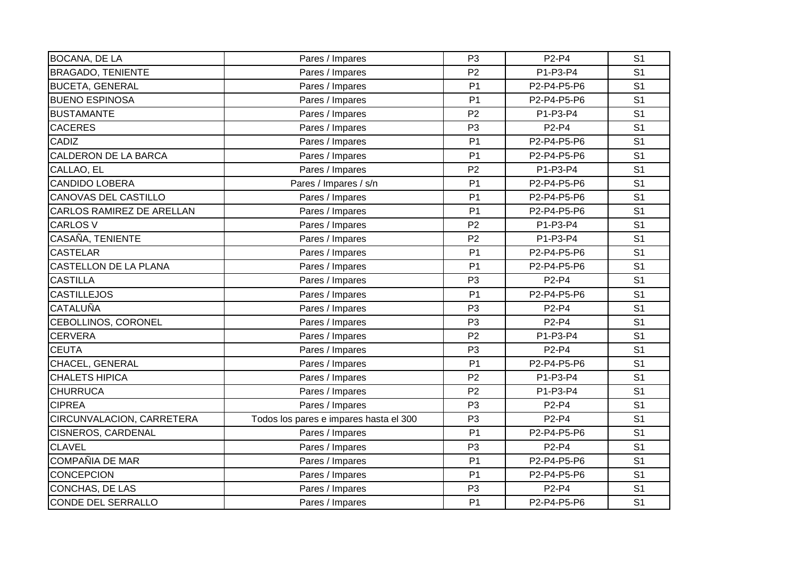| <b>BOCANA, DE LA</b>        | Pares / Impares                        | P <sub>3</sub> | P2-P4       | S <sub>1</sub> |
|-----------------------------|----------------------------------------|----------------|-------------|----------------|
| <b>BRAGADO, TENIENTE</b>    | Pares / Impares                        | P <sub>2</sub> | P1-P3-P4    | S <sub>1</sub> |
| <b>BUCETA, GENERAL</b>      | Pares / Impares                        | P <sub>1</sub> | P2-P4-P5-P6 | S <sub>1</sub> |
| <b>BUENO ESPINOSA</b>       | Pares / Impares                        | P <sub>1</sub> | P2-P4-P5-P6 | S <sub>1</sub> |
| <b>BUSTAMANTE</b>           | Pares / Impares                        | P <sub>2</sub> | P1-P3-P4    | S <sub>1</sub> |
| <b>CACERES</b>              | Pares / Impares                        | P <sub>3</sub> | P2-P4       | S <sub>1</sub> |
| <b>CADIZ</b>                | Pares / Impares                        | P <sub>1</sub> | P2-P4-P5-P6 | S <sub>1</sub> |
| CALDERON DE LA BARCA        | Pares / Impares                        | P <sub>1</sub> | P2-P4-P5-P6 | S <sub>1</sub> |
| CALLAO, EL                  | Pares / Impares                        | P <sub>2</sub> | P1-P3-P4    | S <sub>1</sub> |
| <b>CANDIDO LOBERA</b>       | Pares / Impares / s/n                  | P <sub>1</sub> | P2-P4-P5-P6 | S <sub>1</sub> |
| <b>CANOVAS DEL CASTILLO</b> | Pares / Impares                        | P <sub>1</sub> | P2-P4-P5-P6 | S <sub>1</sub> |
| CARLOS RAMIREZ DE ARELLAN   | Pares / Impares                        | P <sub>1</sub> | P2-P4-P5-P6 | S <sub>1</sub> |
| <b>CARLOS V</b>             | Pares / Impares                        | P <sub>2</sub> | P1-P3-P4    | S <sub>1</sub> |
| CASAÑA, TENIENTE            | Pares / Impares                        | P <sub>2</sub> | P1-P3-P4    | S <sub>1</sub> |
| <b>CASTELAR</b>             | Pares / Impares                        | P <sub>1</sub> | P2-P4-P5-P6 | S <sub>1</sub> |
| CASTELLON DE LA PLANA       | Pares / Impares                        | P <sub>1</sub> | P2-P4-P5-P6 | S <sub>1</sub> |
| <b>CASTILLA</b>             | Pares / Impares                        | P <sub>3</sub> | P2-P4       | S <sub>1</sub> |
| <b>CASTILLEJOS</b>          | Pares / Impares                        | P <sub>1</sub> | P2-P4-P5-P6 | S <sub>1</sub> |
| <b>CATALUÑA</b>             | Pares / Impares                        | P <sub>3</sub> | P2-P4       | S <sub>1</sub> |
| CEBOLLINOS, CORONEL         | Pares / Impares                        | P <sub>3</sub> | P2-P4       | S <sub>1</sub> |
| <b>CERVERA</b>              | Pares / Impares                        | P <sub>2</sub> | P1-P3-P4    | S <sub>1</sub> |
| <b>CEUTA</b>                | Pares / Impares                        | P <sub>3</sub> | P2-P4       | S <sub>1</sub> |
| CHACEL, GENERAL             | Pares / Impares                        | P <sub>1</sub> | P2-P4-P5-P6 | S <sub>1</sub> |
| <b>CHALETS HIPICA</b>       | Pares / Impares                        | P <sub>2</sub> | P1-P3-P4    | S <sub>1</sub> |
| <b>CHURRUCA</b>             | Pares / Impares                        | P <sub>2</sub> | P1-P3-P4    | S <sub>1</sub> |
| <b>CIPREA</b>               | Pares / Impares                        | P <sub>3</sub> | P2-P4       | S <sub>1</sub> |
| CIRCUNVALACION, CARRETERA   | Todos los pares e impares hasta el 300 | P <sub>3</sub> | P2-P4       | S <sub>1</sub> |
| <b>CISNEROS, CARDENAL</b>   | Pares / Impares                        | P <sub>1</sub> | P2-P4-P5-P6 | S <sub>1</sub> |
| <b>CLAVEL</b>               | Pares / Impares                        | P <sub>3</sub> | P2-P4       | S <sub>1</sub> |
| <b>COMPAÑIA DE MAR</b>      | Pares / Impares                        | P <sub>1</sub> | P2-P4-P5-P6 | S <sub>1</sub> |
| <b>CONCEPCION</b>           | Pares / Impares                        | P <sub>1</sub> | P2-P4-P5-P6 | S <sub>1</sub> |
| CONCHAS, DE LAS             | Pares / Impares                        | P <sub>3</sub> | P2-P4       | S <sub>1</sub> |
| <b>CONDE DEL SERRALLO</b>   | Pares / Impares                        | P <sub>1</sub> | P2-P4-P5-P6 | S <sub>1</sub> |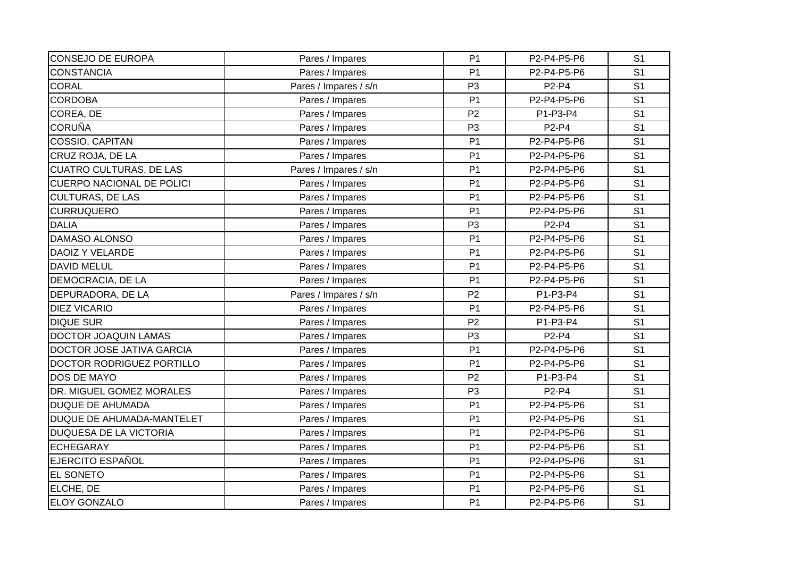| <b>CONSEJO DE EUROPA</b>         | Pares / Impares       | P <sub>1</sub> | P2-P4-P5-P6                    | S <sub>1</sub> |
|----------------------------------|-----------------------|----------------|--------------------------------|----------------|
| <b>CONSTANCIA</b>                | Pares / Impares       | P <sub>1</sub> | P2-P4-P5-P6                    | S <sub>1</sub> |
| <b>CORAL</b>                     | Pares / Impares / s/n | P <sub>3</sub> | P2-P4                          | S <sub>1</sub> |
| <b>CORDOBA</b>                   | Pares / Impares       | P <sub>1</sub> | P2-P4-P5-P6                    | S <sub>1</sub> |
| COREA, DE                        | Pares / Impares       | P <sub>2</sub> | P1-P3-P4                       | S <sub>1</sub> |
| <b>CORUÑA</b>                    | Pares / Impares       | P <sub>3</sub> | $P2-P4$                        | S <sub>1</sub> |
| COSSIO, CAPITAN                  | Pares / Impares       | P <sub>1</sub> | P2-P4-P5-P6                    | S <sub>1</sub> |
| CRUZ ROJA, DE LA                 | Pares / Impares       | P <sub>1</sub> | P2-P4-P5-P6                    | S <sub>1</sub> |
| <b>CUATRO CULTURAS, DE LAS</b>   | Pares / Impares / s/n | P <sub>1</sub> | P2-P4-P5-P6                    | S <sub>1</sub> |
| <b>CUERPO NACIONAL DE POLICI</b> | Pares / Impares       | P <sub>1</sub> | P2-P4-P5-P6                    | S <sub>1</sub> |
| <b>CULTURAS, DE LAS</b>          | Pares / Impares       | P <sub>1</sub> | P2-P4-P5-P6                    | S <sub>1</sub> |
| <b>CURRUQUERO</b>                | Pares / Impares       | P <sub>1</sub> | P2-P4-P5-P6                    | S <sub>1</sub> |
| <b>DALIA</b>                     | Pares / Impares       | P <sub>3</sub> | P2-P4                          | S <sub>1</sub> |
| <b>DAMASO ALONSO</b>             | Pares / Impares       | P <sub>1</sub> | P2-P4-P5-P6                    | S <sub>1</sub> |
| <b>DAOIZ Y VELARDE</b>           | Pares / Impares       | P <sub>1</sub> | P2-P4-P5-P6                    | S <sub>1</sub> |
| <b>DAVID MELUL</b>               | Pares / Impares       | P <sub>1</sub> | P2-P4-P5-P6                    | S <sub>1</sub> |
| DEMOCRACIA, DE LA                | Pares / Impares       | P <sub>1</sub> | P2-P4-P5-P6                    | S <sub>1</sub> |
| DEPURADORA, DE LA                | Pares / Impares / s/n | P <sub>2</sub> | P1-P3-P4                       | S <sub>1</sub> |
| <b>DIEZ VICARIO</b>              | Pares / Impares       | P <sub>1</sub> | P2-P4-P5-P6                    | S <sub>1</sub> |
| <b>DIQUE SUR</b>                 | Pares / Impares       | P <sub>2</sub> | P1-P3-P4                       | S <sub>1</sub> |
| <b>DOCTOR JOAQUIN LAMAS</b>      | Pares / Impares       | P <sub>3</sub> | P2-P4                          | S <sub>1</sub> |
| DOCTOR JOSE JATIVA GARCIA        | Pares / Impares       | P <sub>1</sub> | P2-P4-P5-P6                    | S <sub>1</sub> |
| DOCTOR RODRIGUEZ PORTILLO        | Pares / Impares       | P <sub>1</sub> | P2-P4-P5-P6                    | S <sub>1</sub> |
| <b>DOS DE MAYO</b>               | Pares / Impares       | P <sub>2</sub> | P1-P3-P4                       | S <sub>1</sub> |
| DR. MIGUEL GOMEZ MORALES         | Pares / Impares       | P <sub>3</sub> | P <sub>2</sub> -P <sub>4</sub> | S <sub>1</sub> |
| <b>DUQUE DE AHUMADA</b>          | Pares / Impares       | P <sub>1</sub> | P2-P4-P5-P6                    | S <sub>1</sub> |
| DUQUE DE AHUMADA-MANTELET        | Pares / Impares       | P <sub>1</sub> | P2-P4-P5-P6                    | S <sub>1</sub> |
| <b>DUQUESA DE LA VICTORIA</b>    | Pares / Impares       | P <sub>1</sub> | P2-P4-P5-P6                    | S <sub>1</sub> |
| <b>ECHEGARAY</b>                 | Pares / Impares       | P <sub>1</sub> | P2-P4-P5-P6                    | S <sub>1</sub> |
| <b>EJERCITO ESPAÑOL</b>          | Pares / Impares       | P <sub>1</sub> | P2-P4-P5-P6                    | S <sub>1</sub> |
| <b>EL SONETO</b>                 | Pares / Impares       | P <sub>1</sub> | P2-P4-P5-P6                    | S <sub>1</sub> |
| ELCHE, DE                        | Pares / Impares       | P <sub>1</sub> | P2-P4-P5-P6                    | S <sub>1</sub> |
| <b>ELOY GONZALO</b>              | Pares / Impares       | P <sub>1</sub> | P2-P4-P5-P6                    | S <sub>1</sub> |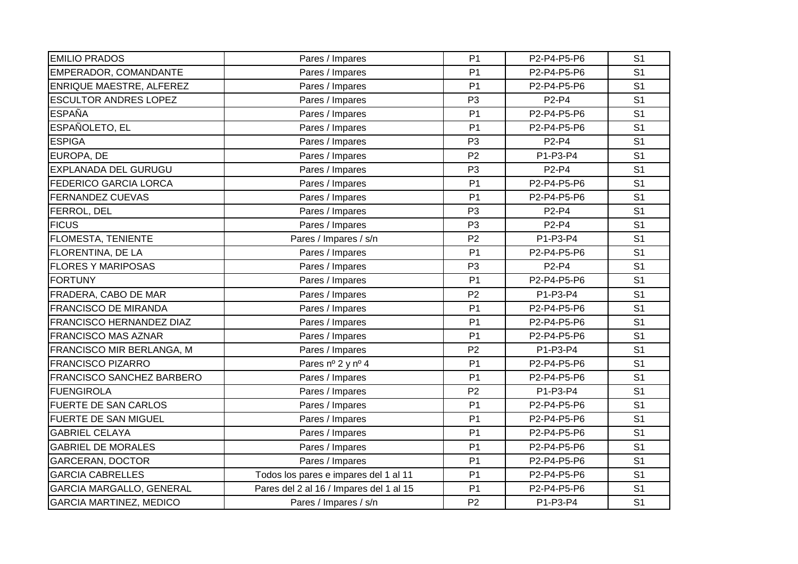| <b>EMILIO PRADOS</b>           | Pares / Impares                         | P <sub>1</sub> | P2-P4-P5-P6                    | S <sub>1</sub> |
|--------------------------------|-----------------------------------------|----------------|--------------------------------|----------------|
| EMPERADOR, COMANDANTE          | Pares / Impares                         | P <sub>1</sub> | P2-P4-P5-P6                    | S <sub>1</sub> |
| ENRIQUE MAESTRE, ALFEREZ       | Pares / Impares                         | P <sub>1</sub> | P2-P4-P5-P6                    | S <sub>1</sub> |
| <b>ESCULTOR ANDRES LOPEZ</b>   | Pares / Impares                         | P <sub>3</sub> | P2-P4                          | S <sub>1</sub> |
| <b>ESPAÑA</b>                  | Pares / Impares                         | P <sub>1</sub> | P2-P4-P5-P6                    | S <sub>1</sub> |
| ESPAÑOLETO, EL                 | Pares / Impares                         | P <sub>1</sub> | P2-P4-P5-P6                    | S <sub>1</sub> |
| <b>ESPIGA</b>                  | Pares / Impares                         | P <sub>3</sub> | P2-P4                          | S <sub>1</sub> |
| EUROPA, DE                     | Pares / Impares                         | P <sub>2</sub> | P1-P3-P4                       | S <sub>1</sub> |
| EXPLANADA DEL GURUGU           | Pares / Impares                         | P <sub>3</sub> | P2-P4                          | S <sub>1</sub> |
| <b>FEDERICO GARCIA LORCA</b>   | Pares / Impares                         | P <sub>1</sub> | P2-P4-P5-P6                    | S <sub>1</sub> |
| <b>FERNANDEZ CUEVAS</b>        | Pares / Impares                         | P <sub>1</sub> | P2-P4-P5-P6                    | S <sub>1</sub> |
| FERROL, DEL                    | Pares / Impares                         | P <sub>3</sub> | P2-P4                          | S <sub>1</sub> |
| <b>FICUS</b>                   | Pares / Impares                         | P <sub>3</sub> | P <sub>2</sub> -P <sub>4</sub> | S <sub>1</sub> |
| FLOMESTA, TENIENTE             | Pares / Impares / s/n                   | P <sub>2</sub> | P1-P3-P4                       | S <sub>1</sub> |
| FLORENTINA, DE LA              | Pares / Impares                         | P <sub>1</sub> | P2-P4-P5-P6                    | S <sub>1</sub> |
| <b>FLORES Y MARIPOSAS</b>      | Pares / Impares                         | P <sub>3</sub> | P2-P4                          | S <sub>1</sub> |
| <b>FORTUNY</b>                 | Pares / Impares                         | P <sub>1</sub> | P2-P4-P5-P6                    | S <sub>1</sub> |
| FRADERA, CABO DE MAR           | Pares / Impares                         | P <sub>2</sub> | P1-P3-P4                       | S <sub>1</sub> |
| <b>FRANCISCO DE MIRANDA</b>    | Pares / Impares                         | P <sub>1</sub> | P2-P4-P5-P6                    | S <sub>1</sub> |
| FRANCISCO HERNANDEZ DIAZ       | Pares / Impares                         | P <sub>1</sub> | P2-P4-P5-P6                    | S <sub>1</sub> |
| <b>FRANCISCO MAS AZNAR</b>     | Pares / Impares                         | P <sub>1</sub> | P2-P4-P5-P6                    | S <sub>1</sub> |
| FRANCISCO MIR BERLANGA, M      | Pares / Impares                         | P <sub>2</sub> | P1-P3-P4                       | S <sub>1</sub> |
| <b>FRANCISCO PIZARRO</b>       | Pares nº 2 y nº 4                       | P <sub>1</sub> | P2-P4-P5-P6                    | S <sub>1</sub> |
| FRANCISCO SANCHEZ BARBERO      | Pares / Impares                         | P <sub>1</sub> | P2-P4-P5-P6                    | S <sub>1</sub> |
| <b>FUENGIROLA</b>              | Pares / Impares                         | P <sub>2</sub> | P1-P3-P4                       | S <sub>1</sub> |
| <b>FUERTE DE SAN CARLOS</b>    | Pares / Impares                         | P <sub>1</sub> | P2-P4-P5-P6                    | S <sub>1</sub> |
| <b>FUERTE DE SAN MIGUEL</b>    | Pares / Impares                         | P <sub>1</sub> | P2-P4-P5-P6                    | S <sub>1</sub> |
| <b>GABRIEL CELAYA</b>          | Pares / Impares                         | P <sub>1</sub> | P2-P4-P5-P6                    | S <sub>1</sub> |
| <b>GABRIEL DE MORALES</b>      | Pares / Impares                         | P <sub>1</sub> | P2-P4-P5-P6                    | S <sub>1</sub> |
| <b>GARCERAN, DOCTOR</b>        | Pares / Impares                         | P <sub>1</sub> | P2-P4-P5-P6                    | S <sub>1</sub> |
| <b>GARCIA CABRELLES</b>        | Todos los pares e impares del 1 al 11   | P <sub>1</sub> | P2-P4-P5-P6                    | S <sub>1</sub> |
| GARCIA MARGALLO, GENERAL       | Pares del 2 al 16 / Impares del 1 al 15 | P <sub>1</sub> | P2-P4-P5-P6                    | S <sub>1</sub> |
| <b>GARCIA MARTINEZ, MEDICO</b> | Pares / Impares / s/n                   | P <sub>2</sub> | P1-P3-P4                       | S <sub>1</sub> |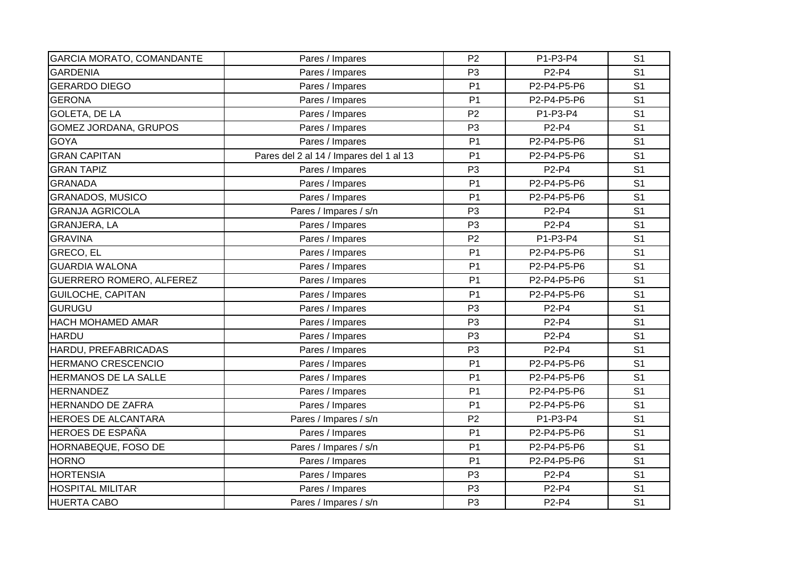| <b>GARCIA MORATO, COMANDANTE</b> | Pares / Impares                         | P <sub>2</sub> | P1-P3-P4                       | S <sub>1</sub> |
|----------------------------------|-----------------------------------------|----------------|--------------------------------|----------------|
| <b>GARDENIA</b>                  | Pares / Impares                         | P <sub>3</sub> | P2-P4                          | S <sub>1</sub> |
| <b>GERARDO DIEGO</b>             | Pares / Impares                         | P <sub>1</sub> | P2-P4-P5-P6                    | S <sub>1</sub> |
| <b>GERONA</b>                    | Pares / Impares                         | P <sub>1</sub> | P2-P4-P5-P6                    | S <sub>1</sub> |
| <b>GOLETA, DE LA</b>             | Pares / Impares                         | P <sub>2</sub> | P1-P3-P4                       | S <sub>1</sub> |
| <b>GOMEZ JORDANA, GRUPOS</b>     | Pares / Impares                         | P <sub>3</sub> | P2-P4                          | S <sub>1</sub> |
| <b>GOYA</b>                      | Pares / Impares                         | P <sub>1</sub> | P2-P4-P5-P6                    | S <sub>1</sub> |
| <b>GRAN CAPITAN</b>              | Pares del 2 al 14 / Impares del 1 al 13 | P <sub>1</sub> | P2-P4-P5-P6                    | S <sub>1</sub> |
| <b>GRAN TAPIZ</b>                | Pares / Impares                         | P <sub>3</sub> | P2-P4                          | S <sub>1</sub> |
| <b>GRANADA</b>                   | Pares / Impares                         | P <sub>1</sub> | P2-P4-P5-P6                    | S <sub>1</sub> |
| <b>GRANADOS, MUSICO</b>          | Pares / Impares                         | P <sub>1</sub> | P2-P4-P5-P6                    | S <sub>1</sub> |
| <b>GRANJA AGRICOLA</b>           | Pares / Impares / s/n                   | P <sub>3</sub> | P2-P4                          | S <sub>1</sub> |
| GRANJERA, LA                     | Pares / Impares                         | P <sub>3</sub> | P2-P4                          | S <sub>1</sub> |
| <b>GRAVINA</b>                   | Pares / Impares                         | P <sub>2</sub> | P1-P3-P4                       | S <sub>1</sub> |
| GRECO, EL                        | Pares / Impares                         | P <sub>1</sub> | P2-P4-P5-P6                    | S <sub>1</sub> |
| <b>GUARDIA WALONA</b>            | Pares / Impares                         | P <sub>1</sub> | P2-P4-P5-P6                    | S <sub>1</sub> |
| GUERRERO ROMERO, ALFEREZ         | Pares / Impares                         | P <sub>1</sub> | P2-P4-P5-P6                    | S <sub>1</sub> |
| <b>GUILOCHE, CAPITAN</b>         | Pares / Impares                         | P <sub>1</sub> | P2-P4-P5-P6                    | S <sub>1</sub> |
| <b>GURUGU</b>                    | Pares / Impares                         | P <sub>3</sub> | P2-P4                          | S <sub>1</sub> |
| HACH MOHAMED AMAR                | Pares / Impares                         | P <sub>3</sub> | P2-P4                          | S <sub>1</sub> |
| <b>HARDU</b>                     | Pares / Impares                         | P <sub>3</sub> | P2-P4                          | S <sub>1</sub> |
| HARDU, PREFABRICADAS             | Pares / Impares                         | P <sub>3</sub> | P <sub>2</sub> -P <sub>4</sub> | S <sub>1</sub> |
| <b>HERMANO CRESCENCIO</b>        | Pares / Impares                         | P <sub>1</sub> | P2-P4-P5-P6                    | S <sub>1</sub> |
| HERMANOS DE LA SALLE             | Pares / Impares                         | P <sub>1</sub> | P2-P4-P5-P6                    | S <sub>1</sub> |
| <b>HERNANDEZ</b>                 | Pares / Impares                         | P <sub>1</sub> | P2-P4-P5-P6                    | S <sub>1</sub> |
| <b>HERNANDO DE ZAFRA</b>         | Pares / Impares                         | P <sub>1</sub> | P2-P4-P5-P6                    | S <sub>1</sub> |
| HEROES DE ALCANTARA              | Pares / Impares / s/n                   | P <sub>2</sub> | P1-P3-P4                       | S <sub>1</sub> |
| <b>HEROES DE ESPAÑA</b>          | Pares / Impares                         | P <sub>1</sub> | P2-P4-P5-P6                    | S <sub>1</sub> |
| HORNABEQUE, FOSO DE              | Pares / Impares / s/n                   | P <sub>1</sub> | P2-P4-P5-P6                    | S <sub>1</sub> |
| <b>HORNO</b>                     | Pares / Impares                         | P <sub>1</sub> | P2-P4-P5-P6                    | S <sub>1</sub> |
| <b>HORTENSIA</b>                 | Pares / Impares                         | P <sub>3</sub> | P2-P4                          | S <sub>1</sub> |
| <b>HOSPITAL MILITAR</b>          | Pares / Impares                         | P <sub>3</sub> | P2-P4                          | S <sub>1</sub> |
| <b>HUERTA CABO</b>               | Pares / Impares / s/n                   | P <sub>3</sub> | P2-P4                          | S <sub>1</sub> |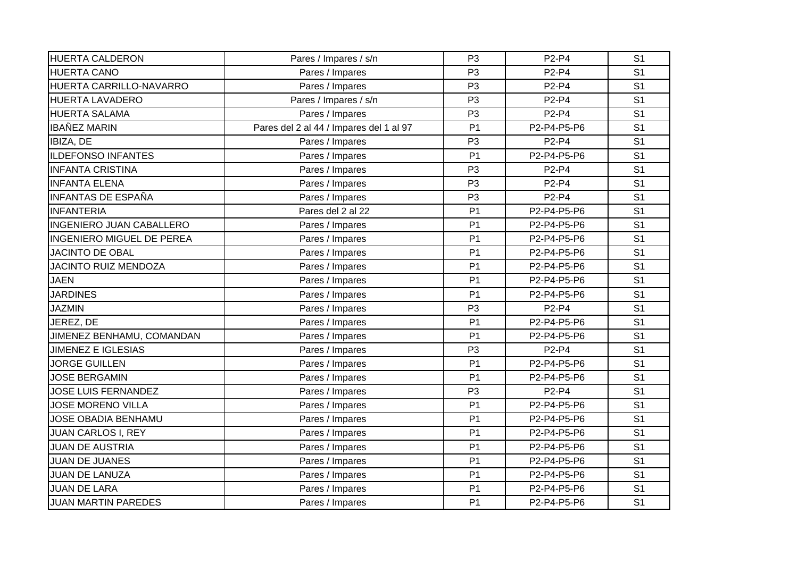| <b>HUERTA CALDERON</b>          | Pares / Impares / s/n                   | P <sub>3</sub> | P2-P4       | S <sub>1</sub> |
|---------------------------------|-----------------------------------------|----------------|-------------|----------------|
| <b>HUERTA CANO</b>              | Pares / Impares                         | P <sub>3</sub> | P2-P4       | S <sub>1</sub> |
| HUERTA CARRILLO-NAVARRO         | Pares / Impares                         | P <sub>3</sub> | P2-P4       | S <sub>1</sub> |
| <b>HUERTA LAVADERO</b>          | Pares / Impares / s/n                   | P <sub>3</sub> | P2-P4       | S <sub>1</sub> |
| <b>HUERTA SALAMA</b>            | Pares / Impares                         | P <sub>3</sub> | P2-P4       | S <sub>1</sub> |
| <b>IBAÑEZ MARIN</b>             | Pares del 2 al 44 / Impares del 1 al 97 | P <sub>1</sub> | P2-P4-P5-P6 | S <sub>1</sub> |
| IBIZA, DE                       | Pares / Impares                         | P <sub>3</sub> | P2-P4       | S <sub>1</sub> |
| <b>ILDEFONSO INFANTES</b>       | Pares / Impares                         | P <sub>1</sub> | P2-P4-P5-P6 | S <sub>1</sub> |
| <b>INFANTA CRISTINA</b>         | Pares / Impares                         | P <sub>3</sub> | P2-P4       | S <sub>1</sub> |
| <b>INFANTA ELENA</b>            | Pares / Impares                         | P <sub>3</sub> | P2-P4       | S <sub>1</sub> |
| <b>INFANTAS DE ESPAÑA</b>       | Pares / Impares                         | P <sub>3</sub> | P2-P4       | S <sub>1</sub> |
| <b>INFANTERIA</b>               | Pares del 2 al 22                       | P <sub>1</sub> | P2-P4-P5-P6 | S <sub>1</sub> |
| <b>INGENIERO JUAN CABALLERO</b> | Pares / Impares                         | P <sub>1</sub> | P2-P4-P5-P6 | S <sub>1</sub> |
| INGENIERO MIGUEL DE PEREA       | Pares / Impares                         | P <sub>1</sub> | P2-P4-P5-P6 | S <sub>1</sub> |
| <b>JACINTO DE OBAL</b>          | Pares / Impares                         | P <sub>1</sub> | P2-P4-P5-P6 | S <sub>1</sub> |
| <b>JACINTO RUIZ MENDOZA</b>     | Pares / Impares                         | P <sub>1</sub> | P2-P4-P5-P6 | S <sub>1</sub> |
| <b>JAEN</b>                     | Pares / Impares                         | P <sub>1</sub> | P2-P4-P5-P6 | S <sub>1</sub> |
| <b>JARDINES</b>                 | Pares / Impares                         | P <sub>1</sub> | P2-P4-P5-P6 | S <sub>1</sub> |
| <b>JAZMIN</b>                   | Pares / Impares                         | P <sub>3</sub> | P2-P4       | S <sub>1</sub> |
| JEREZ, DE                       | Pares / Impares                         | P <sub>1</sub> | P2-P4-P5-P6 | S <sub>1</sub> |
| JIMENEZ BENHAMU, COMANDAN       | Pares / Impares                         | P <sub>1</sub> | P2-P4-P5-P6 | S <sub>1</sub> |
| <b>JIMENEZ E IGLESIAS</b>       | Pares / Impares                         | P <sub>3</sub> | P2-P4       | S <sub>1</sub> |
| <b>JORGE GUILLEN</b>            | Pares / Impares                         | P <sub>1</sub> | P2-P4-P5-P6 | S <sub>1</sub> |
| <b>JOSE BERGAMIN</b>            | Pares / Impares                         | P <sub>1</sub> | P2-P4-P5-P6 | S <sub>1</sub> |
| <b>JOSE LUIS FERNANDEZ</b>      | Pares / Impares                         | P <sub>3</sub> | P2-P4       | S <sub>1</sub> |
| <b>JOSE MORENO VILLA</b>        | Pares / Impares                         | P <sub>1</sub> | P2-P4-P5-P6 | S <sub>1</sub> |
| JOSE OBADIA BENHAMU             | Pares / Impares                         | P <sub>1</sub> | P2-P4-P5-P6 | S <sub>1</sub> |
| <b>JUAN CARLOS I, REY</b>       | Pares / Impares                         | P <sub>1</sub> | P2-P4-P5-P6 | S <sub>1</sub> |
| <b>JUAN DE AUSTRIA</b>          | Pares / Impares                         | P <sub>1</sub> | P2-P4-P5-P6 | S <sub>1</sub> |
| <b>JUAN DE JUANES</b>           | Pares / Impares                         | P <sub>1</sub> | P2-P4-P5-P6 | S <sub>1</sub> |
| <b>JUAN DE LANUZA</b>           | Pares / Impares                         | P <sub>1</sub> | P2-P4-P5-P6 | S <sub>1</sub> |
| <b>JUAN DE LARA</b>             | Pares / Impares                         | P <sub>1</sub> | P2-P4-P5-P6 | S <sub>1</sub> |
| <b>JUAN MARTIN PAREDES</b>      | Pares / Impares                         | P <sub>1</sub> | P2-P4-P5-P6 | S <sub>1</sub> |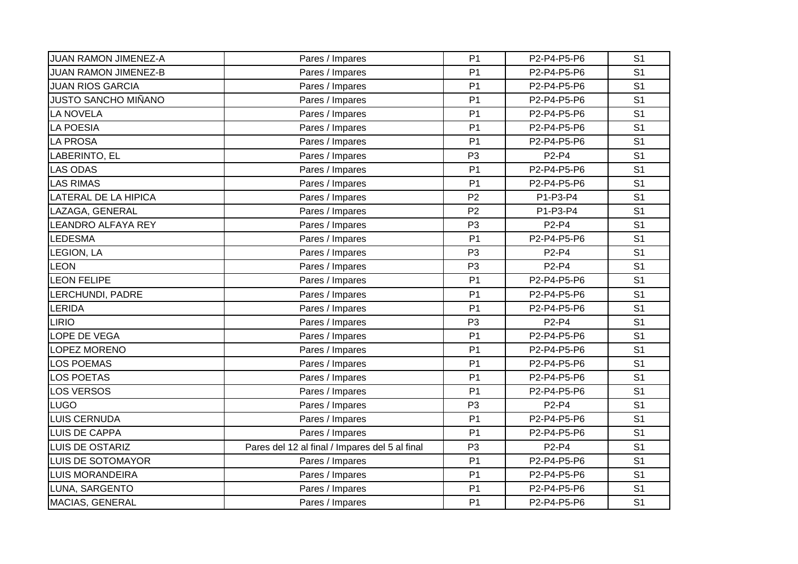| <b>JUAN RAMON JIMENEZ-A</b> | Pares / Impares                                | P <sub>1</sub> | P2-P4-P5-P6                    | S <sub>1</sub> |
|-----------------------------|------------------------------------------------|----------------|--------------------------------|----------------|
| <b>JUAN RAMON JIMENEZ-B</b> | Pares / Impares                                | P <sub>1</sub> | P2-P4-P5-P6                    | S <sub>1</sub> |
| <b>JUAN RIOS GARCIA</b>     | Pares / Impares                                | P <sub>1</sub> | P2-P4-P5-P6                    | S <sub>1</sub> |
| <b>JUSTO SANCHO MIÑANO</b>  | Pares / Impares                                | P <sub>1</sub> | P2-P4-P5-P6                    | S <sub>1</sub> |
| <b>LA NOVELA</b>            | Pares / Impares                                | P <sub>1</sub> | P2-P4-P5-P6                    | S <sub>1</sub> |
| <b>LA POESIA</b>            | Pares / Impares                                | P <sub>1</sub> | P2-P4-P5-P6                    | S <sub>1</sub> |
| <b>LA PROSA</b>             | Pares / Impares                                | P <sub>1</sub> | P2-P4-P5-P6                    | S <sub>1</sub> |
| LABERINTO, EL               | Pares / Impares                                | P <sub>3</sub> | P <sub>2</sub> -P <sub>4</sub> | S <sub>1</sub> |
| <b>LAS ODAS</b>             | Pares / Impares                                | P <sub>1</sub> | P2-P4-P5-P6                    | S <sub>1</sub> |
| <b>LAS RIMAS</b>            | Pares / Impares                                | P <sub>1</sub> | P2-P4-P5-P6                    | S <sub>1</sub> |
| <b>LATERAL DE LA HIPICA</b> | Pares / Impares                                | P <sub>2</sub> | P1-P3-P4                       | S <sub>1</sub> |
| LAZAGA, GENERAL             | Pares / Impares                                | P <sub>2</sub> | P1-P3-P4                       | S <sub>1</sub> |
| LEANDRO ALFAYA REY          | Pares / Impares                                | P <sub>3</sub> | P <sub>2</sub> -P <sub>4</sub> | S <sub>1</sub> |
| <b>LEDESMA</b>              | Pares / Impares                                | P <sub>1</sub> | P2-P4-P5-P6                    | S <sub>1</sub> |
| <b>LEGION, LA</b>           | Pares / Impares                                | P <sub>3</sub> | P2-P4                          | S <sub>1</sub> |
| <b>LEON</b>                 | Pares / Impares                                | P <sub>3</sub> | P2-P4                          | S <sub>1</sub> |
| <b>LEON FELIPE</b>          | Pares / Impares                                | P <sub>1</sub> | P2-P4-P5-P6                    | S <sub>1</sub> |
| LERCHUNDI, PADRE            | Pares / Impares                                | P <sub>1</sub> | P2-P4-P5-P6                    | S <sub>1</sub> |
| <b>LERIDA</b>               | Pares / Impares                                | P <sub>1</sub> | P2-P4-P5-P6                    | S <sub>1</sub> |
| <b>LIRIO</b>                | Pares / Impares                                | P <sub>3</sub> | P2-P4                          | S <sub>1</sub> |
| LOPE DE VEGA                | Pares / Impares                                | P <sub>1</sub> | P2-P4-P5-P6                    | S <sub>1</sub> |
| LOPEZ MORENO                | Pares / Impares                                | P <sub>1</sub> | P2-P4-P5-P6                    | S <sub>1</sub> |
| <b>LOS POEMAS</b>           | Pares / Impares                                | P <sub>1</sub> | P2-P4-P5-P6                    | S <sub>1</sub> |
| <b>LOS POETAS</b>           | Pares / Impares                                | P <sub>1</sub> | P2-P4-P5-P6                    | S <sub>1</sub> |
| <b>LOS VERSOS</b>           | Pares / Impares                                | P <sub>1</sub> | P2-P4-P5-P6                    | S <sub>1</sub> |
| <b>LUGO</b>                 | Pares / Impares                                | P <sub>3</sub> | P2-P4                          | S <sub>1</sub> |
| <b>LUIS CERNUDA</b>         | Pares / Impares                                | P <sub>1</sub> | P2-P4-P5-P6                    | S <sub>1</sub> |
| <b>LUIS DE CAPPA</b>        | Pares / Impares                                | P <sub>1</sub> | P2-P4-P5-P6                    | S <sub>1</sub> |
| <b>LUIS DE OSTARIZ</b>      | Pares del 12 al final / Impares del 5 al final | P <sub>3</sub> | P <sub>2</sub> -P <sub>4</sub> | S <sub>1</sub> |
| <b>LUIS DE SOTOMAYOR</b>    | Pares / Impares                                | P <sub>1</sub> | P2-P4-P5-P6                    | S <sub>1</sub> |
| <b>LUIS MORANDEIRA</b>      | Pares / Impares                                | P <sub>1</sub> | P2-P4-P5-P6                    | S <sub>1</sub> |
| LUNA, SARGENTO              | Pares / Impares                                | P <sub>1</sub> | P2-P4-P5-P6                    | S <sub>1</sub> |
| MACIAS, GENERAL             | Pares / Impares                                | P <sub>1</sub> | P2-P4-P5-P6                    | S <sub>1</sub> |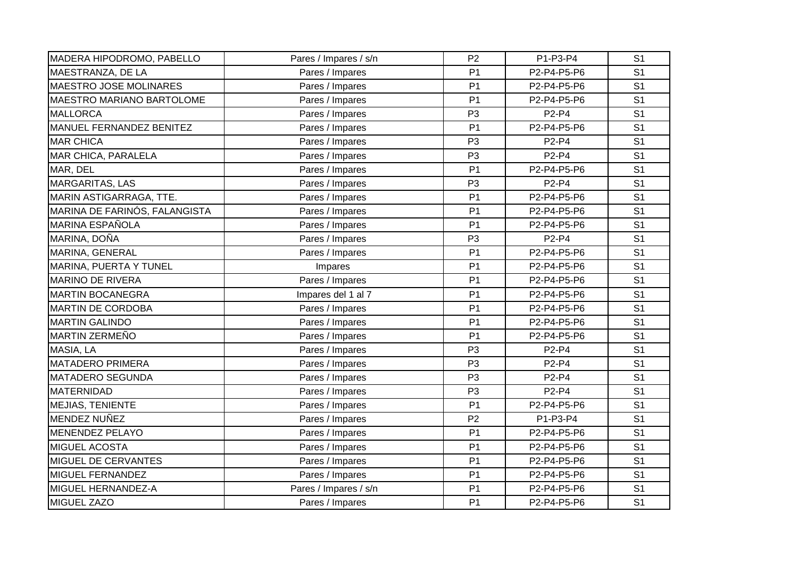| MADERA HIPODROMO, PABELLO        | Pares / Impares / s/n | P <sub>2</sub> | P1-P3-P4                       | S <sub>1</sub> |
|----------------------------------|-----------------------|----------------|--------------------------------|----------------|
| MAESTRANZA, DE LA                | Pares / Impares       | P <sub>1</sub> | P2-P4-P5-P6                    | S <sub>1</sub> |
| MAESTRO JOSE MOLINARES           | Pares / Impares       | P <sub>1</sub> | P2-P4-P5-P6                    | S <sub>1</sub> |
| <b>MAESTRO MARIANO BARTOLOME</b> | Pares / Impares       | P <sub>1</sub> | P2-P4-P5-P6                    | S <sub>1</sub> |
| <b>MALLORCA</b>                  | Pares / Impares       | P <sub>3</sub> | P2-P4                          | S <sub>1</sub> |
| MANUEL FERNANDEZ BENITEZ         | Pares / Impares       | P <sub>1</sub> | P2-P4-P5-P6                    | S <sub>1</sub> |
| <b>MAR CHICA</b>                 | Pares / Impares       | P <sub>3</sub> | P2-P4                          | S <sub>1</sub> |
| <b>MAR CHICA, PARALELA</b>       | Pares / Impares       | P <sub>3</sub> | P2-P4                          | S <sub>1</sub> |
| MAR, DEL                         | Pares / Impares       | P <sub>1</sub> | P2-P4-P5-P6                    | S <sub>1</sub> |
| <b>MARGARITAS, LAS</b>           | Pares / Impares       | P <sub>3</sub> | P <sub>2</sub> -P <sub>4</sub> | S <sub>1</sub> |
| MARIN ASTIGARRAGA, TTE.          | Pares / Impares       | P <sub>1</sub> | P2-P4-P5-P6                    | S <sub>1</sub> |
| MARINA DE FARINÓS, FALANGISTA    | Pares / Impares       | P <sub>1</sub> | P2-P4-P5-P6                    | S <sub>1</sub> |
| <b>MARINA ESPAÑOLA</b>           | Pares / Impares       | P <sub>1</sub> | P2-P4-P5-P6                    | S <sub>1</sub> |
| MARINA, DOÑA                     | Pares / Impares       | P <sub>3</sub> | P2-P4                          | S <sub>1</sub> |
| MARINA, GENERAL                  | Pares / Impares       | P <sub>1</sub> | P2-P4-P5-P6                    | S <sub>1</sub> |
| <b>MARINA, PUERTA Y TUNEL</b>    | Impares               | P <sub>1</sub> | P2-P4-P5-P6                    | S <sub>1</sub> |
| <b>MARINO DE RIVERA</b>          | Pares / Impares       | P <sub>1</sub> | P2-P4-P5-P6                    | S <sub>1</sub> |
| <b>MARTIN BOCANEGRA</b>          | Impares del 1 al 7    | P <sub>1</sub> | P2-P4-P5-P6                    | S <sub>1</sub> |
| <b>MARTIN DE CORDOBA</b>         | Pares / Impares       | P <sub>1</sub> | P2-P4-P5-P6                    | S <sub>1</sub> |
| <b>MARTIN GALINDO</b>            | Pares / Impares       | P <sub>1</sub> | P2-P4-P5-P6                    | S <sub>1</sub> |
| MARTIN ZERMEÑO                   | Pares / Impares       | P <sub>1</sub> | P2-P4-P5-P6                    | S <sub>1</sub> |
| MASIA, LA                        | Pares / Impares       | P <sub>3</sub> | P <sub>2</sub> -P <sub>4</sub> | S <sub>1</sub> |
| <b>MATADERO PRIMERA</b>          | Pares / Impares       | P <sub>3</sub> | P2-P4                          | S <sub>1</sub> |
| <b>MATADERO SEGUNDA</b>          | Pares / Impares       | P <sub>3</sub> | P2-P4                          | S <sub>1</sub> |
| MATERNIDAD                       | Pares / Impares       | P <sub>3</sub> | P2-P4                          | S <sub>1</sub> |
| MEJIAS, TENIENTE                 | Pares / Impares       | P <sub>1</sub> | P2-P4-P5-P6                    | S <sub>1</sub> |
| MENDEZ NUÑEZ                     | Pares / Impares       | P <sub>2</sub> | P1-P3-P4                       | S <sub>1</sub> |
| <b>MENENDEZ PELAYO</b>           | Pares / Impares       | P <sub>1</sub> | P2-P4-P5-P6                    | S <sub>1</sub> |
| <b>MIGUEL ACOSTA</b>             | Pares / Impares       | P <sub>1</sub> | P2-P4-P5-P6                    | S <sub>1</sub> |
| MIGUEL DE CERVANTES              | Pares / Impares       | P <sub>1</sub> | P2-P4-P5-P6                    | S <sub>1</sub> |
| <b>MIGUEL FERNANDEZ</b>          | Pares / Impares       | P <sub>1</sub> | P2-P4-P5-P6                    | S <sub>1</sub> |
| MIGUEL HERNANDEZ-A               | Pares / Impares / s/n | P <sub>1</sub> | P2-P4-P5-P6                    | S <sub>1</sub> |
| MIGUEL ZAZO                      | Pares / Impares       | P <sub>1</sub> | P2-P4-P5-P6                    | S <sub>1</sub> |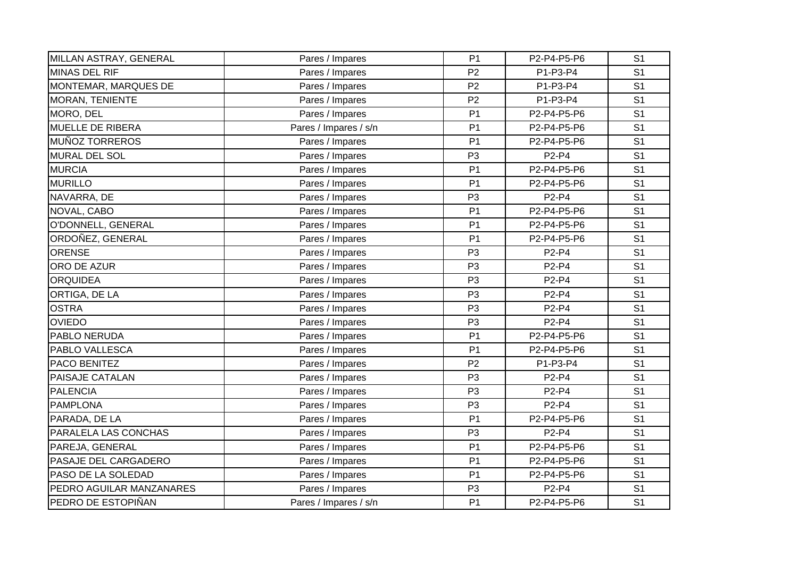| MILLAN ASTRAY, GENERAL   | Pares / Impares       | P <sub>1</sub> | P2-P4-P5-P6                    | S <sub>1</sub> |
|--------------------------|-----------------------|----------------|--------------------------------|----------------|
| <b>MINAS DEL RIF</b>     | Pares / Impares       | P <sub>2</sub> | P1-P3-P4                       | S <sub>1</sub> |
| MONTEMAR, MARQUES DE     | Pares / Impares       | P <sub>2</sub> | P1-P3-P4                       | S <sub>1</sub> |
| <b>MORAN, TENIENTE</b>   | Pares / Impares       | P <sub>2</sub> | P1-P3-P4                       | S <sub>1</sub> |
| MORO, DEL                | Pares / Impares       | P <sub>1</sub> | P2-P4-P5-P6                    | S <sub>1</sub> |
| <b>MUELLE DE RIBERA</b>  | Pares / Impares / s/n | P <sub>1</sub> | P2-P4-P5-P6                    | S <sub>1</sub> |
| <b>MUÑOZ TORREROS</b>    | Pares / Impares       | P <sub>1</sub> | P2-P4-P5-P6                    | S <sub>1</sub> |
| <b>MURAL DEL SOL</b>     | Pares / Impares       | P <sub>3</sub> | P <sub>2</sub> -P <sub>4</sub> | S <sub>1</sub> |
| <b>MURCIA</b>            | Pares / Impares       | P <sub>1</sub> | P2-P4-P5-P6                    | S <sub>1</sub> |
| <b>MURILLO</b>           | Pares / Impares       | P <sub>1</sub> | P2-P4-P5-P6                    | S <sub>1</sub> |
| NAVARRA, DE              | Pares / Impares       | P <sub>3</sub> | P2-P4                          | S <sub>1</sub> |
| NOVAL, CABO              | Pares / Impares       | P <sub>1</sub> | P2-P4-P5-P6                    | S <sub>1</sub> |
| O'DONNELL, GENERAL       | Pares / Impares       | P <sub>1</sub> | P2-P4-P5-P6                    | S <sub>1</sub> |
| ORDOÑEZ, GENERAL         | Pares / Impares       | P <sub>1</sub> | P2-P4-P5-P6                    | S <sub>1</sub> |
| <b>ORENSE</b>            | Pares / Impares       | P <sub>3</sub> | P2-P4                          | S <sub>1</sub> |
| ORO DE AZUR              | Pares / Impares       | P <sub>3</sub> | P2-P4                          | S <sub>1</sub> |
| <b>ORQUIDEA</b>          | Pares / Impares       | P <sub>3</sub> | P2-P4                          | S <sub>1</sub> |
| ORTIGA, DE LA            | Pares / Impares       | P <sub>3</sub> | P <sub>2</sub> -P <sub>4</sub> | S <sub>1</sub> |
| <b>OSTRA</b>             | Pares / Impares       | P <sub>3</sub> | P2-P4                          | S <sub>1</sub> |
| <b>OVIEDO</b>            | Pares / Impares       | P <sub>3</sub> | P2-P4                          | S <sub>1</sub> |
| PABLO NERUDA             | Pares / Impares       | P <sub>1</sub> | P2-P4-P5-P6                    | S <sub>1</sub> |
| PABLO VALLESCA           | Pares / Impares       | P <sub>1</sub> | P2-P4-P5-P6                    | S <sub>1</sub> |
| PACO BENITEZ             | Pares / Impares       | P <sub>2</sub> | P1-P3-P4                       | S <sub>1</sub> |
| PAISAJE CATALAN          | Pares / Impares       | P <sub>3</sub> | P <sub>2</sub> -P <sub>4</sub> | S <sub>1</sub> |
| <b>PALENCIA</b>          | Pares / Impares       | P <sub>3</sub> | P2-P4                          | S <sub>1</sub> |
| <b>PAMPLONA</b>          | Pares / Impares       | P <sub>3</sub> | P2-P4                          | S <sub>1</sub> |
| PARADA, DE LA            | Pares / Impares       | P <sub>1</sub> | P2-P4-P5-P6                    | S <sub>1</sub> |
| PARALELA LAS CONCHAS     | Pares / Impares       | P <sub>3</sub> | P2-P4                          | S <sub>1</sub> |
| PAREJA, GENERAL          | Pares / Impares       | P <sub>1</sub> | P2-P4-P5-P6                    | S <sub>1</sub> |
| PASAJE DEL CARGADERO     | Pares / Impares       | P <sub>1</sub> | P2-P4-P5-P6                    | S <sub>1</sub> |
| PASO DE LA SOLEDAD       | Pares / Impares       | P <sub>1</sub> | P2-P4-P5-P6                    | S <sub>1</sub> |
| PEDRO AGUILAR MANZANARES | Pares / Impares       | P <sub>3</sub> | P2-P4                          | S <sub>1</sub> |
| PEDRO DE ESTOPIÑAN       | Pares / Impares / s/n | P <sub>1</sub> | P2-P4-P5-P6                    | S <sub>1</sub> |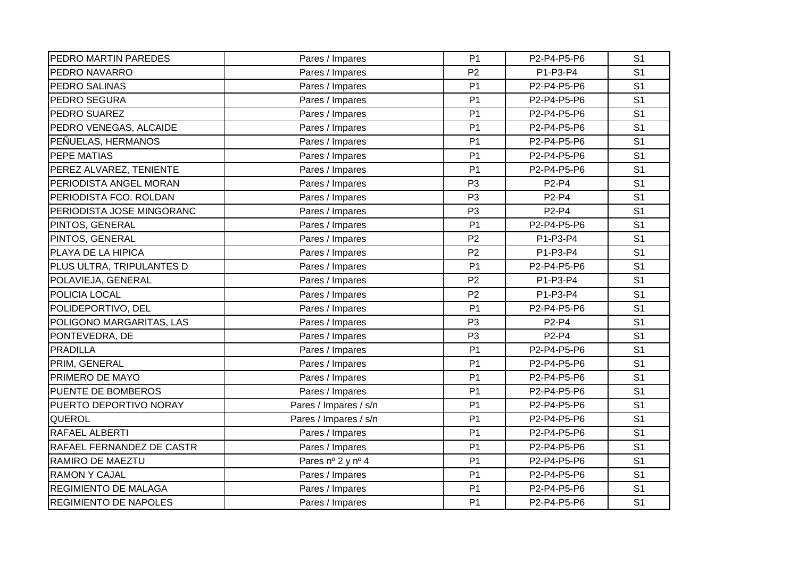| PEDRO MARTIN PAREDES         | Pares / Impares       | P <sub>1</sub> | P2-P4-P5-P6 | S <sub>1</sub> |
|------------------------------|-----------------------|----------------|-------------|----------------|
| PEDRO NAVARRO                | Pares / Impares       | P <sub>2</sub> | P1-P3-P4    | S <sub>1</sub> |
| PEDRO SALINAS                | Pares / Impares       | P <sub>1</sub> | P2-P4-P5-P6 | S <sub>1</sub> |
| PEDRO SEGURA                 | Pares / Impares       | P <sub>1</sub> | P2-P4-P5-P6 | S <sub>1</sub> |
| PEDRO SUAREZ                 | Pares / Impares       | P <sub>1</sub> | P2-P4-P5-P6 | S <sub>1</sub> |
| PEDRO VENEGAS, ALCAIDE       | Pares / Impares       | P <sub>1</sub> | P2-P4-P5-P6 | S <sub>1</sub> |
| PEÑUELAS, HERMANOS           | Pares / Impares       | P <sub>1</sub> | P2-P4-P5-P6 | S <sub>1</sub> |
| <b>PEPE MATIAS</b>           | Pares / Impares       | P <sub>1</sub> | P2-P4-P5-P6 | S <sub>1</sub> |
| PEREZ ALVAREZ, TENIENTE      | Pares / Impares       | P <sub>1</sub> | P2-P4-P5-P6 | S <sub>1</sub> |
| PERIODISTA ANGEL MORAN       | Pares / Impares       | P <sub>3</sub> | P2-P4       | S <sub>1</sub> |
| PERIODISTA FCO. ROLDAN       | Pares / Impares       | P <sub>3</sub> | P2-P4       | S <sub>1</sub> |
| PERIODISTA JOSE MINGORANC    | Pares / Impares       | P <sub>3</sub> | P2-P4       | S <sub>1</sub> |
| PINTOS, GENERAL              | Pares / Impares       | P <sub>1</sub> | P2-P4-P5-P6 | S <sub>1</sub> |
| PINTOS, GENERAL              | Pares / Impares       | P <sub>2</sub> | P1-P3-P4    | S <sub>1</sub> |
| PLAYA DE LA HIPICA           | Pares / Impares       | P <sub>2</sub> | P1-P3-P4    | S <sub>1</sub> |
| PLUS ULTRA, TRIPULANTES D    | Pares / Impares       | P <sub>1</sub> | P2-P4-P5-P6 | S <sub>1</sub> |
| POLAVIEJA, GENERAL           | Pares / Impares       | P <sub>2</sub> | P1-P3-P4    | S <sub>1</sub> |
| POLICIA LOCAL                | Pares / Impares       | P <sub>2</sub> | P1-P3-P4    | S <sub>1</sub> |
| POLIDEPORTIVO, DEL           | Pares / Impares       | P <sub>1</sub> | P2-P4-P5-P6 | S <sub>1</sub> |
| POLIGONO MARGARITAS, LAS     | Pares / Impares       | P <sub>3</sub> | P2-P4       | S <sub>1</sub> |
| PONTEVEDRA, DE               | Pares / Impares       | P <sub>3</sub> | P2-P4       | S <sub>1</sub> |
| <b>PRADILLA</b>              | Pares / Impares       | P <sub>1</sub> | P2-P4-P5-P6 | S <sub>1</sub> |
| PRIM, GENERAL                | Pares / Impares       | P <sub>1</sub> | P2-P4-P5-P6 | S <sub>1</sub> |
| PRIMERO DE MAYO              | Pares / Impares       | P <sub>1</sub> | P2-P4-P5-P6 | S <sub>1</sub> |
| PUENTE DE BOMBEROS           | Pares / Impares       | P <sub>1</sub> | P2-P4-P5-P6 | S <sub>1</sub> |
| PUERTO DEPORTIVO NORAY       | Pares / Impares / s/n | P <sub>1</sub> | P2-P4-P5-P6 | S <sub>1</sub> |
| QUEROL                       | Pares / Impares / s/n | P <sub>1</sub> | P2-P4-P5-P6 | S <sub>1</sub> |
| RAFAEL ALBERTI               | Pares / Impares       | P <sub>1</sub> | P2-P4-P5-P6 | S <sub>1</sub> |
| RAFAEL FERNANDEZ DE CASTR    | Pares / Impares       | P <sub>1</sub> | P2-P4-P5-P6 | S <sub>1</sub> |
| RAMIRO DE MAEZTU             | Pares nº 2 y nº 4     | P <sub>1</sub> | P2-P4-P5-P6 | S <sub>1</sub> |
| <b>RAMON Y CAJAL</b>         | Pares / Impares       | P <sub>1</sub> | P2-P4-P5-P6 | S <sub>1</sub> |
| <b>REGIMIENTO DE MALAGA</b>  | Pares / Impares       | P <sub>1</sub> | P2-P4-P5-P6 | S <sub>1</sub> |
| <b>REGIMIENTO DE NAPOLES</b> | Pares / Impares       | P <sub>1</sub> | P2-P4-P5-P6 | S <sub>1</sub> |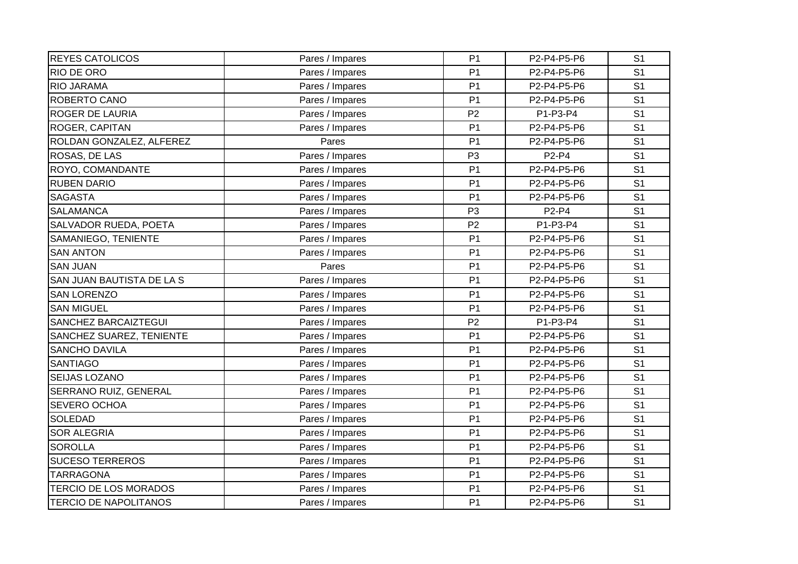| <b>REYES CATOLICOS</b>       | Pares / Impares | P <sub>1</sub> | P2-P4-P5-P6 | S <sub>1</sub> |
|------------------------------|-----------------|----------------|-------------|----------------|
| <b>RIO DE ORO</b>            | Pares / Impares | P <sub>1</sub> | P2-P4-P5-P6 | S <sub>1</sub> |
| <b>RIO JARAMA</b>            | Pares / Impares | P <sub>1</sub> | P2-P4-P5-P6 | S <sub>1</sub> |
| ROBERTO CANO                 | Pares / Impares | P <sub>1</sub> | P2-P4-P5-P6 | S <sub>1</sub> |
| ROGER DE LAURIA              | Pares / Impares | P <sub>2</sub> | P1-P3-P4    | S <sub>1</sub> |
| ROGER, CAPITAN               | Pares / Impares | P <sub>1</sub> | P2-P4-P5-P6 | S <sub>1</sub> |
| ROLDAN GONZALEZ, ALFEREZ     | Pares           | P <sub>1</sub> | P2-P4-P5-P6 | S <sub>1</sub> |
| ROSAS, DE LAS                | Pares / Impares | P <sub>3</sub> | P2-P4       | S <sub>1</sub> |
| ROYO, COMANDANTE             | Pares / Impares | P <sub>1</sub> | P2-P4-P5-P6 | S <sub>1</sub> |
| <b>RUBEN DARIO</b>           | Pares / Impares | P <sub>1</sub> | P2-P4-P5-P6 | S <sub>1</sub> |
| <b>SAGASTA</b>               | Pares / Impares | P <sub>1</sub> | P2-P4-P5-P6 | S <sub>1</sub> |
| <b>SALAMANCA</b>             | Pares / Impares | P <sub>3</sub> | P2-P4       | S <sub>1</sub> |
| SALVADOR RUEDA, POETA        | Pares / Impares | P <sub>2</sub> | P1-P3-P4    | S <sub>1</sub> |
| SAMANIEGO, TENIENTE          | Pares / Impares | P <sub>1</sub> | P2-P4-P5-P6 | S <sub>1</sub> |
| <b>SAN ANTON</b>             | Pares / Impares | P <sub>1</sub> | P2-P4-P5-P6 | S <sub>1</sub> |
| <b>SAN JUAN</b>              | Pares           | P <sub>1</sub> | P2-P4-P5-P6 | S <sub>1</sub> |
| SAN JUAN BAUTISTA DE LA S    | Pares / Impares | P <sub>1</sub> | P2-P4-P5-P6 | S <sub>1</sub> |
| <b>SAN LORENZO</b>           | Pares / Impares | P <sub>1</sub> | P2-P4-P5-P6 | S <sub>1</sub> |
| <b>SAN MIGUEL</b>            | Pares / Impares | P <sub>1</sub> | P2-P4-P5-P6 | S <sub>1</sub> |
| SANCHEZ BARCAIZTEGUI         | Pares / Impares | P <sub>2</sub> | P1-P3-P4    | S <sub>1</sub> |
| SANCHEZ SUAREZ, TENIENTE     | Pares / Impares | P <sub>1</sub> | P2-P4-P5-P6 | S <sub>1</sub> |
| <b>SANCHO DAVILA</b>         | Pares / Impares | P <sub>1</sub> | P2-P4-P5-P6 | S <sub>1</sub> |
| <b>SANTIAGO</b>              | Pares / Impares | P <sub>1</sub> | P2-P4-P5-P6 | S <sub>1</sub> |
| SEIJAS LOZANO                | Pares / Impares | P <sub>1</sub> | P2-P4-P5-P6 | S <sub>1</sub> |
| SERRANO RUIZ, GENERAL        | Pares / Impares | P <sub>1</sub> | P2-P4-P5-P6 | S <sub>1</sub> |
| SEVERO OCHOA                 | Pares / Impares | P <sub>1</sub> | P2-P4-P5-P6 | S <sub>1</sub> |
| <b>SOLEDAD</b>               | Pares / Impares | P <sub>1</sub> | P2-P4-P5-P6 | S <sub>1</sub> |
| <b>SOR ALEGRIA</b>           | Pares / Impares | P <sub>1</sub> | P2-P4-P5-P6 | S <sub>1</sub> |
| <b>SOROLLA</b>               | Pares / Impares | P <sub>1</sub> | P2-P4-P5-P6 | S <sub>1</sub> |
| <b>SUCESO TERREROS</b>       | Pares / Impares | P <sub>1</sub> | P2-P4-P5-P6 | S <sub>1</sub> |
| <b>TARRAGONA</b>             | Pares / Impares | P <sub>1</sub> | P2-P4-P5-P6 | S <sub>1</sub> |
| <b>TERCIO DE LOS MORADOS</b> | Pares / Impares | P <sub>1</sub> | P2-P4-P5-P6 | S <sub>1</sub> |
| <b>TERCIO DE NAPOLITANOS</b> | Pares / Impares | P <sub>1</sub> | P2-P4-P5-P6 | S <sub>1</sub> |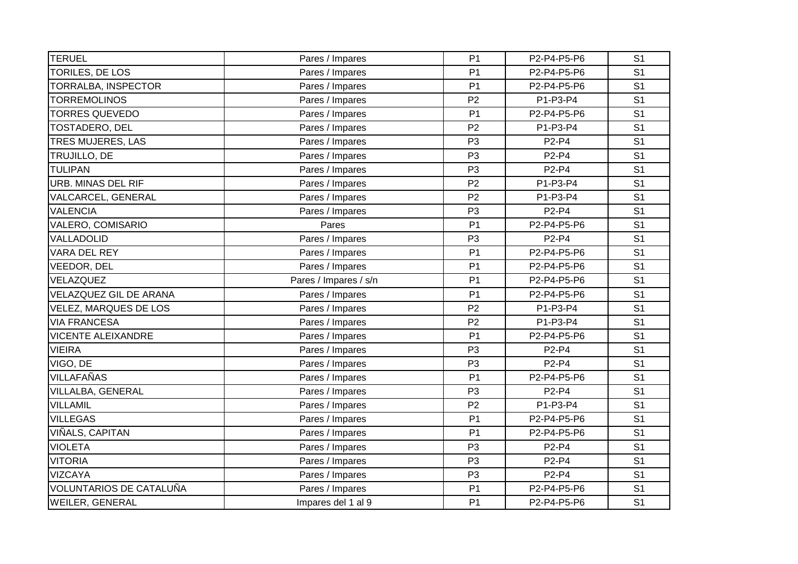| <b>TERUEL</b>             | Pares / Impares       | P <sub>1</sub> | P2-P4-P5-P6 | S <sub>1</sub> |
|---------------------------|-----------------------|----------------|-------------|----------------|
| TORILES, DE LOS           | Pares / Impares       | P <sub>1</sub> | P2-P4-P5-P6 | S <sub>1</sub> |
| TORRALBA, INSPECTOR       | Pares / Impares       | P <sub>1</sub> | P2-P4-P5-P6 | S <sub>1</sub> |
| <b>TORREMOLINOS</b>       | Pares / Impares       | P <sub>2</sub> | P1-P3-P4    | S <sub>1</sub> |
| <b>TORRES QUEVEDO</b>     | Pares / Impares       | P <sub>1</sub> | P2-P4-P5-P6 | S <sub>1</sub> |
| TOSTADERO, DEL            | Pares / Impares       | P <sub>2</sub> | P1-P3-P4    | S <sub>1</sub> |
| TRES MUJERES, LAS         | Pares / Impares       | P <sub>3</sub> | P2-P4       | S <sub>1</sub> |
| TRUJILLO, DE              | Pares / Impares       | P <sub>3</sub> | P2-P4       | S <sub>1</sub> |
| <b>TULIPAN</b>            | Pares / Impares       | P <sub>3</sub> | P2-P4       | S <sub>1</sub> |
| <b>URB. MINAS DEL RIF</b> | Pares / Impares       | P <sub>2</sub> | P1-P3-P4    | S <sub>1</sub> |
| VALCARCEL, GENERAL        | Pares / Impares       | P <sub>2</sub> | P1-P3-P4    | S <sub>1</sub> |
| <b>VALENCIA</b>           | Pares / Impares       | P <sub>3</sub> | P2-P4       | S <sub>1</sub> |
| VALERO, COMISARIO         | Pares                 | P <sub>1</sub> | P2-P4-P5-P6 | S <sub>1</sub> |
| VALLADOLID                | Pares / Impares       | P <sub>3</sub> | P2-P4       | S <sub>1</sub> |
| VARA DEL REY              | Pares / Impares       | P <sub>1</sub> | P2-P4-P5-P6 | S <sub>1</sub> |
| VEEDOR, DEL               | Pares / Impares       | P <sub>1</sub> | P2-P4-P5-P6 | S <sub>1</sub> |
| VELAZQUEZ                 | Pares / Impares / s/n | P <sub>1</sub> | P2-P4-P5-P6 | S <sub>1</sub> |
| VELAZQUEZ GIL DE ARANA    | Pares / Impares       | P <sub>1</sub> | P2-P4-P5-P6 | S <sub>1</sub> |
| VELEZ, MARQUES DE LOS     | Pares / Impares       | P <sub>2</sub> | P1-P3-P4    | S <sub>1</sub> |
| <b>VIA FRANCESA</b>       | Pares / Impares       | P <sub>2</sub> | P1-P3-P4    | S <sub>1</sub> |
| <b>VICENTE ALEIXANDRE</b> | Pares / Impares       | P <sub>1</sub> | P2-P4-P5-P6 | S <sub>1</sub> |
| <b>VIEIRA</b>             | Pares / Impares       | P <sub>3</sub> | P2-P4       | S <sub>1</sub> |
| VIGO, DE                  | Pares / Impares       | P <sub>3</sub> | P2-P4       | S <sub>1</sub> |
| VILLAFAÑAS                | Pares / Impares       | P <sub>1</sub> | P2-P4-P5-P6 | S <sub>1</sub> |
| VILLALBA, GENERAL         | Pares / Impares       | P <sub>3</sub> | P2-P4       | S <sub>1</sub> |
| <b>VILLAMIL</b>           | Pares / Impares       | P <sub>2</sub> | P1-P3-P4    | S <sub>1</sub> |
| <b>VILLEGAS</b>           | Pares / Impares       | P <sub>1</sub> | P2-P4-P5-P6 | S <sub>1</sub> |
| VIÑALS, CAPITAN           | Pares / Impares       | P <sub>1</sub> | P2-P4-P5-P6 | S <sub>1</sub> |
| <b>VIOLETA</b>            | Pares / Impares       | P <sub>3</sub> | P2-P4       | S <sub>1</sub> |
| <b>VITORIA</b>            | Pares / Impares       | P <sub>3</sub> | P2-P4       | S <sub>1</sub> |
| <b>VIZCAYA</b>            | Pares / Impares       | P <sub>3</sub> | P2-P4       | S <sub>1</sub> |
| VOLUNTARIOS DE CATALUÑA   | Pares / Impares       | P <sub>1</sub> | P2-P4-P5-P6 | S <sub>1</sub> |
| WEILER, GENERAL           | Impares del 1 al 9    | P <sub>1</sub> | P2-P4-P5-P6 | S <sub>1</sub> |
|                           |                       |                |             |                |